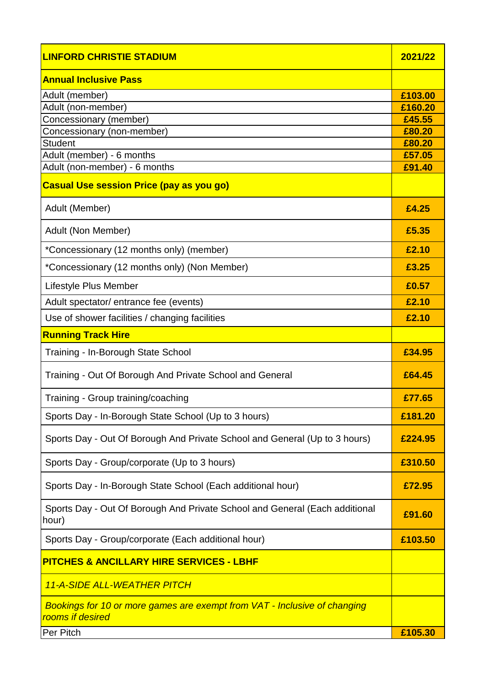| <b>LINFORD CHRISTIE STADIUM</b>                                                                      | 2021/22          |
|------------------------------------------------------------------------------------------------------|------------------|
| <b>Annual Inclusive Pass</b>                                                                         |                  |
| Adult (member)                                                                                       | £103.00          |
| Adult (non-member)                                                                                   | £160.20          |
| Concessionary (member)                                                                               | £45.55           |
| Concessionary (non-member)<br><b>Student</b>                                                         | £80.20           |
| Adult (member) - 6 months                                                                            | £80.20<br>£57.05 |
| Adult (non-member) - 6 months                                                                        | £91.40           |
| <b>Casual Use session Price (pay as you go)</b>                                                      |                  |
| Adult (Member)                                                                                       | £4.25            |
| Adult (Non Member)                                                                                   | £5.35            |
| *Concessionary (12 months only) (member)                                                             | £2.10            |
| *Concessionary (12 months only) (Non Member)                                                         | £3.25            |
| Lifestyle Plus Member                                                                                | £0.57            |
| Adult spectator/ entrance fee (events)                                                               | £2.10            |
| Use of shower facilities / changing facilities                                                       | £2.10            |
| <b>Running Track Hire</b>                                                                            |                  |
| Training - In-Borough State School                                                                   | £34.95           |
| Training - Out Of Borough And Private School and General                                             | £64.45           |
| Training - Group training/coaching                                                                   | £77.65           |
| Sports Day - In-Borough State School (Up to 3 hours)                                                 | £181.20          |
| Sports Day - Out Of Borough And Private School and General (Up to 3 hours)                           | £224.95          |
| Sports Day - Group/corporate (Up to 3 hours)                                                         | £310.50          |
| Sports Day - In-Borough State School (Each additional hour)                                          | £72.95           |
| Sports Day - Out Of Borough And Private School and General (Each additional<br>hour)                 | £91.60           |
| Sports Day - Group/corporate (Each additional hour)                                                  | £103.50          |
| <b>PITCHES &amp; ANCILLARY HIRE SERVICES - LBHF</b>                                                  |                  |
| <b>11-A-SIDE ALL-WEATHER PITCH</b>                                                                   |                  |
| <b>Bookings for 10 or more games are exempt from VAT - Inclusive of changing</b><br>rooms if desired |                  |
| Per Pitch                                                                                            | £105.30          |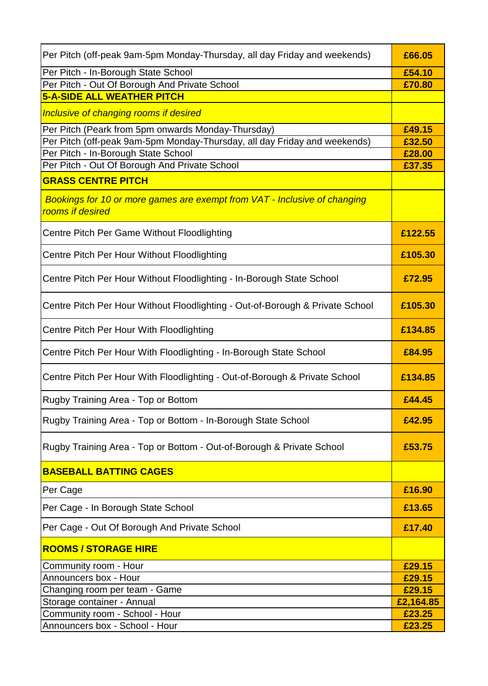| Per Pitch (off-peak 9am-5pm Monday-Thursday, all day Friday and weekends)                     | £66.05    |
|-----------------------------------------------------------------------------------------------|-----------|
| Per Pitch - In-Borough State School                                                           | £54.10    |
| Per Pitch - Out Of Borough And Private School                                                 | £70.80    |
| <b>5-A-SIDE ALL WEATHER PITCH</b>                                                             |           |
| Inclusive of changing rooms if desired                                                        |           |
| Per Pitch (Peark from 5pm onwards Monday-Thursday)                                            | £49.15    |
| Per Pitch (off-peak 9am-5pm Monday-Thursday, all day Friday and weekends)                     | £32.50    |
| Per Pitch - In-Borough State School                                                           | £28.00    |
| Per Pitch - Out Of Borough And Private School                                                 | £37.35    |
| <b>GRASS CENTRE PITCH</b>                                                                     |           |
| Bookings for 10 or more games are exempt from VAT - Inclusive of changing<br>rooms if desired |           |
| Centre Pitch Per Game Without Floodlighting                                                   | £122.55   |
| Centre Pitch Per Hour Without Floodlighting                                                   | £105.30   |
| Centre Pitch Per Hour Without Floodlighting - In-Borough State School                         | £72.95    |
| Centre Pitch Per Hour Without Floodlighting - Out-of-Borough & Private School                 | £105.30   |
| Centre Pitch Per Hour With Floodlighting                                                      | £134.85   |
| Centre Pitch Per Hour With Floodlighting - In-Borough State School                            | £84.95    |
| Centre Pitch Per Hour With Floodlighting - Out-of-Borough & Private School                    | £134.85   |
| Rugby Training Area - Top or Bottom                                                           | £44.45    |
| Rugby Training Area - Top or Bottom - In-Borough State School                                 | £42.95    |
| Rugby Training Area - Top or Bottom - Out-of-Borough & Private School                         | £53.75    |
| <b>BASEBALL BATTING CAGES</b>                                                                 |           |
| Per Cage                                                                                      | £16.90    |
| Per Cage - In Borough State School                                                            | £13.65    |
| Per Cage - Out Of Borough And Private School                                                  | £17.40    |
| <b>ROOMS / STORAGE HIRE</b>                                                                   |           |
| Community room - Hour                                                                         | £29.15    |
| Announcers box - Hour                                                                         | £29.15    |
| Changing room per team - Game                                                                 | £29.15    |
| Storage container - Annual                                                                    | £2,164.85 |
| Community room - School - Hour                                                                | £23.25    |
| Announcers box - School - Hour                                                                | £23.25    |